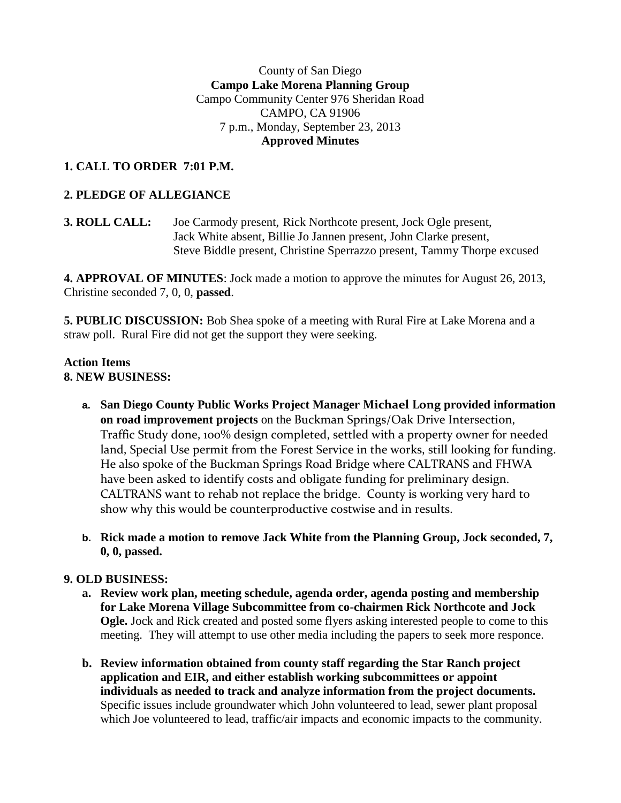### County of San Diego **Campo Lake Morena Planning Group** Campo Community Center 976 Sheridan Road CAMPO, CA 91906 7 p.m., Monday, September 23, 2013 **Approved Minutes**

# **1. CALL TO ORDER 7:01 P.M.**

# **2. PLEDGE OF ALLEGIANCE**

**3. ROLL CALL:** Joe Carmody present, Rick Northcote present, Jock Ogle present, Jack White absent, Billie Jo Jannen present, John Clarke present, Steve Biddle present, Christine Sperrazzo present, Tammy Thorpe excused

**4. APPROVAL OF MINUTES**: Jock made a motion to approve the minutes for August 26, 2013, Christine seconded 7, 0, 0, **passed**.

**5. PUBLIC DISCUSSION:** Bob Shea spoke of a meeting with Rural Fire at Lake Morena and a straw poll. Rural Fire did not get the support they were seeking.

#### **Action Items 8. NEW BUSINESS:**

- **a. San Diego County Public Works Project Manager Michael Long provided information on road improvement projects** on the Buckman Springs/Oak Drive Intersection, Traffic Study done, 100% design completed, settled with a property owner for needed land, Special Use permit from the Forest Service in the works, still looking for funding. He also spoke of the Buckman Springs Road Bridge where CALTRANS and FHWA have been asked to identify costs and obligate funding for preliminary design. CALTRANS want to rehab not replace the bridge. County is working very hard to show why this would be counterproductive costwise and in results.
- **b. Rick made a motion to remove Jack White from the Planning Group, Jock seconded, 7, 0, 0, passed.**

## **9. OLD BUSINESS:**

- **a. Review work plan, meeting schedule, agenda order, agenda posting and membership for Lake Morena Village Subcommittee from co-chairmen Rick Northcote and Jock Ogle.** Jock and Rick created and posted some flyers asking interested people to come to this meeting. They will attempt to use other media including the papers to seek more responce.
- **b. Review information obtained from county staff regarding the Star Ranch project application and EIR, and either establish working subcommittees or appoint individuals as needed to track and analyze information from the project documents.** Specific issues include groundwater which John volunteered to lead, sewer plant proposal which Joe volunteered to lead, traffic/air impacts and economic impacts to the community.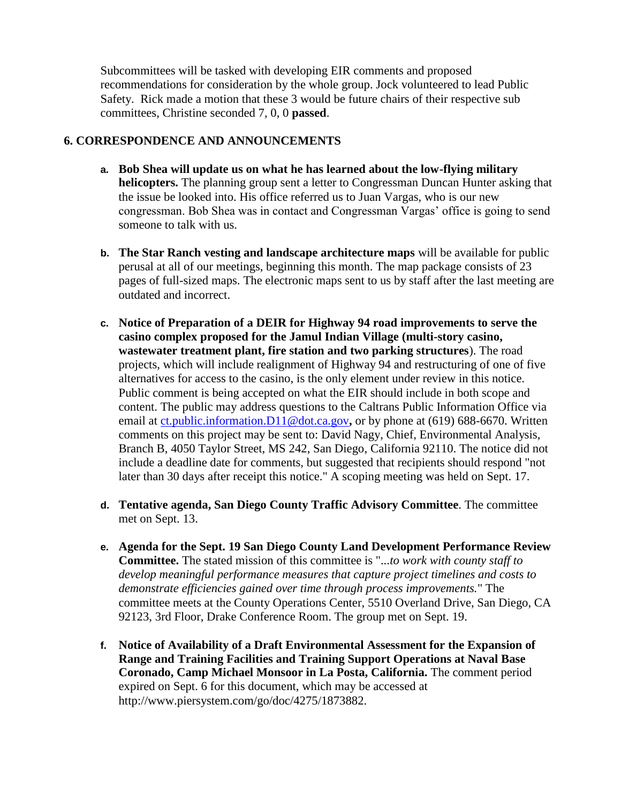Subcommittees will be tasked with developing EIR comments and proposed recommendations for consideration by the whole group. Jock volunteered to lead Public Safety. Rick made a motion that these 3 would be future chairs of their respective sub committees, Christine seconded 7, 0, 0 **passed**.

#### **6. CORRESPONDENCE AND ANNOUNCEMENTS**

- **a. Bob Shea will update us on what he has learned about the low-flying military helicopters.** The planning group sent a letter to Congressman Duncan Hunter asking that the issue be looked into. His office referred us to Juan Vargas, who is our new congressman. Bob Shea was in contact and Congressman Vargas' office is going to send someone to talk with us.
- **b. The Star Ranch vesting and landscape architecture maps** will be available for public perusal at all of our meetings, beginning this month. The map package consists of 23 pages of full-sized maps. The electronic maps sent to us by staff after the last meeting are outdated and incorrect.
- **c. Notice of Preparation of a DEIR for Highway 94 road improvements to serve the casino complex proposed for the Jamul Indian Village (multi-story casino, wastewater treatment plant, fire station and two parking structures**). The road projects, which will include realignment of Highway 94 and restructuring of one of five alternatives for access to the casino, is the only element under review in this notice. Public comment is being accepted on what the EIR should include in both scope and content. The public may address questions to the Caltrans Public Information Office via email at [ct.public.information.D11@dot.ca.gov](http://jacjamul.com/ct.public.information.D11@dot.ca.gov)**,** or by phone at (619) 688-6670. Written comments on this project may be sent to: David Nagy, Chief, Environmental Analysis, Branch B, 4050 Taylor Street, MS 242, San Diego, California 92110. The notice did not include a deadline date for comments, but suggested that recipients should respond "not later than 30 days after receipt this notice." A scoping meeting was held on Sept. 17.
- **d. Tentative agenda, San Diego County Traffic Advisory Committee**. The committee met on Sept. 13.
- **e. Agenda for the Sept. 19 San Diego County Land Development Performance Review Committee.** The stated mission of this committee is "...*to work with county staff to develop meaningful performance measures that capture project timelines and costs to demonstrate efficiencies gained over time through process improvements.*" The committee meets at the County Operations Center, 5510 Overland Drive, San Diego, CA 92123, 3rd Floor, Drake Conference Room. The group met on Sept. 19.
- **f. Notice of Availability of a Draft Environmental Assessment for the Expansion of Range and Training Facilities and Training Support Operations at Naval Base Coronado, Camp Michael Monsoor in La Posta, California.** The comment period expired on Sept. 6 for this document, which may be accessed at http://www.piersystem.com/go/doc/4275/1873882.